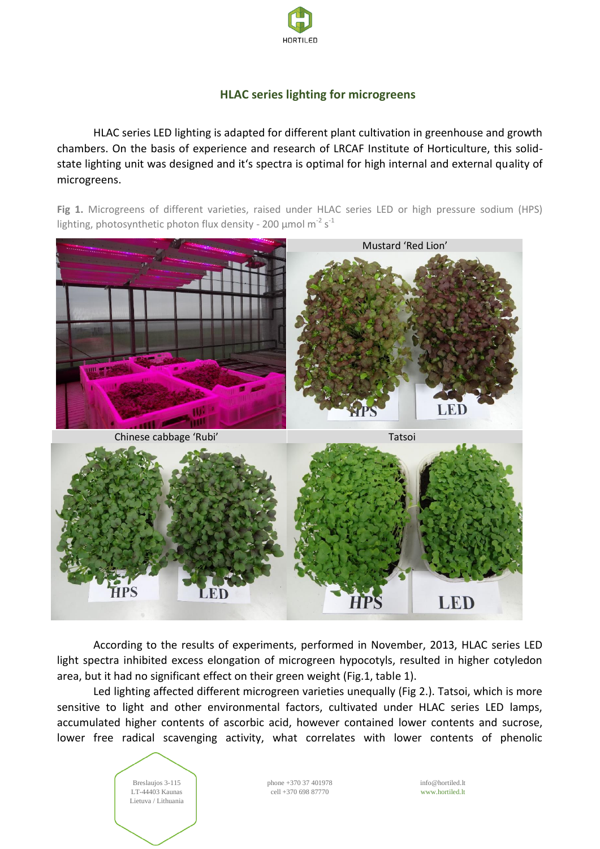

## **HLAC series lighting for microgreens**

HLAC series LED lighting is adapted for different plant cultivation in greenhouse and growth chambers. On the basis of experience and research of LRCAF Institute of Horticulture, this solidstate lighting unit was designed and it's spectra is optimal for high internal and external quality of microgreens.

Fig 1. Microgreens of different varieties, raised under HLAC series LED or high pressure sodium (HPS) lighting, photosynthetic photon flux density - 200  $\mu$ mol m<sup>-2</sup> s<sup>-1</sup>



According to the results of experiments, performed in November, 2013, HLAC series LED light spectra inhibited excess elongation of microgreen hypocotyls, resulted in higher cotyledon area, but it had no significant effect on their green weight (Fig.1, table 1).

Led lighting affected different microgreen varieties unequally (Fig 2.). Tatsoi, which is more sensitive to light and other environmental factors, cultivated under HLAC series LED lamps, accumulated higher contents of ascorbic acid, however contained lower contents and sucrose, lower free radical scavenging activity, what correlates with lower contents of phenolic



phone +370 37 401978 cell +370 698 87770

info@hortiled.lt www.hortiled.lt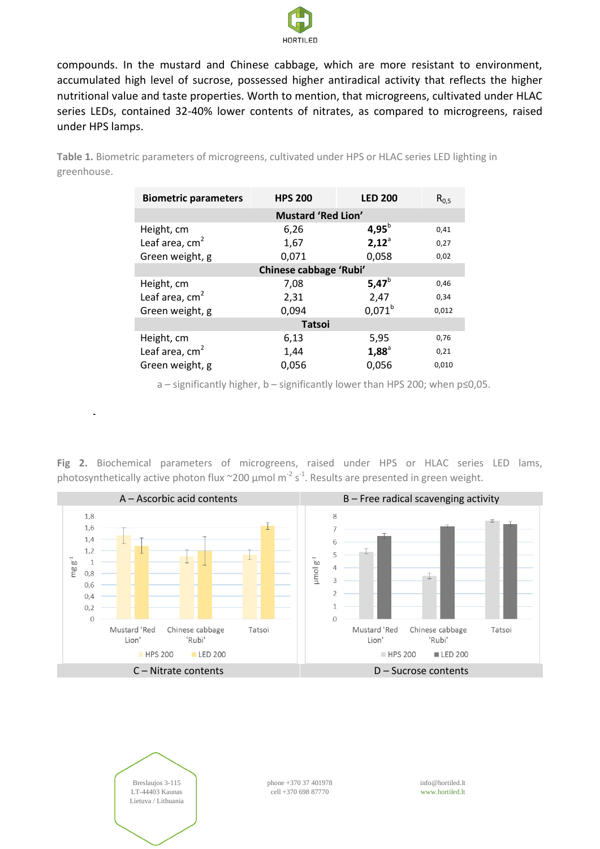

compounds. In the mustard and Chinese cabbage, which are more resistant to environment, accumulated high level of sucrose, possessed higher antiradical activity that reflects the higher nutritional value and taste properties. Worth to mention, that microgreens, cultivated under HLAC series LEDs, contained 32-40% lower contents of nitrates, as compared to microgreens, raised under HPS lamps.

**Table 1.** Biometric parameters of microgreens, cultivated under HPS or HLAC series LED lighting in greenhouse.

| <b>Biometric parameters</b> | <b>HPS 200</b> | <b>LED 200</b> | $R_{0.5}$ |
|-----------------------------|----------------|----------------|-----------|
| <b>Mustard 'Red Lion'</b>   |                |                |           |
| Height, cm                  | 6,26           | 4,95 $^{b}$    | 0,41      |
| Leaf area, $cm2$            | 1,67           | $2,12^{\circ}$ | 0,27      |
| Green weight, g             | 0,071          | 0,058          | 0,02      |
| Chinese cabbage 'Rubi'      |                |                |           |
| Height, cm                  | 7,08           | 5,47 $^{b}$    | 0,46      |
| Leaf area, cm <sup>2</sup>  | 2,31           | 2,47           | 0,34      |
| Green weight, g             | 0,094          | $0.071^{b}$    | 0,012     |
| <b>Tatsoi</b>               |                |                |           |
| Height, cm                  | 6,13           | 5,95           | 0,76      |
| Leaf area, $cm2$            | 1,44           | $1,88^{\circ}$ | 0,21      |
| Green weight, g             | 0,056          | 0,056          | 0,010     |

a – significantly higher, b – significantly lower than HPS 200; when p≤0,05.

**Fig 2.** Biochemical parameters of microgreens, raised under HPS or HLAC series LED lams, photosynthetically active photon flux  $\sim$ 200 µmol m<sup>-2</sup> s<sup>-1</sup>. Results are presented in green weight.

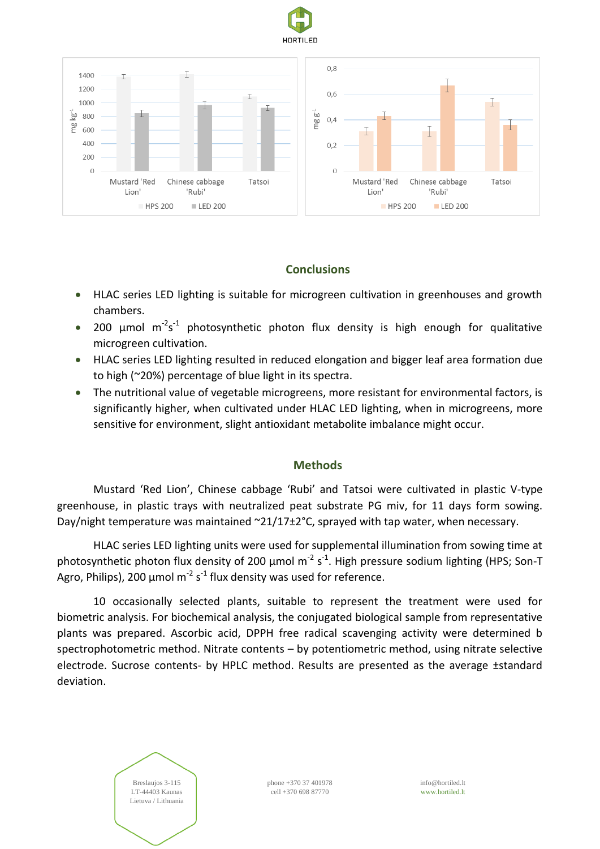



## **Conclusions**

- HLAC series LED lighting is suitable for microgreen cultivation in greenhouses and growth chambers.
- 200  $\mu$ mol m<sup>-2</sup>s<sup>-1</sup> photosynthetic photon flux density is high enough for qualitative microgreen cultivation.
- HLAC series LED lighting resulted in reduced elongation and bigger leaf area formation due to high (~20%) percentage of blue light in its spectra.
- The nutritional value of vegetable microgreens, more resistant for environmental factors, is significantly higher, when cultivated under HLAC LED lighting, when in microgreens, more sensitive for environment, slight antioxidant metabolite imbalance might occur.

## **Methods**

Mustard 'Red Lion', Chinese cabbage 'Rubi' and Tatsoi were cultivated in plastic V-type greenhouse, in plastic trays with neutralized peat substrate PG miv, for 11 days form sowing. Day/night temperature was maintained ~21/17±2°C, sprayed with tap water, when necessary.

HLAC series LED lighting units were used for supplemental illumination from sowing time at photosynthetic photon flux density of 200  $\mu$ mol m<sup>-2</sup> s<sup>-1</sup>. High pressure sodium lighting (HPS; Son-T Agro, Philips), 200  $\mu$ mol m<sup>-2</sup> s<sup>-1</sup> flux density was used for reference.

10 occasionally selected plants, suitable to represent the treatment were used for biometric analysis. For biochemical analysis, the conjugated biological sample from representative plants was prepared. Ascorbic acid, DPPH free radical scavenging activity were determined b spectrophotometric method. Nitrate contents – by potentiometric method, using nitrate selective electrode. Sucrose contents- by HPLC method. Results are presented as the average ±standard deviation.



phone +370 37 401978 cell +370 698 87770

info@hortiled.lt www.hortiled.lt